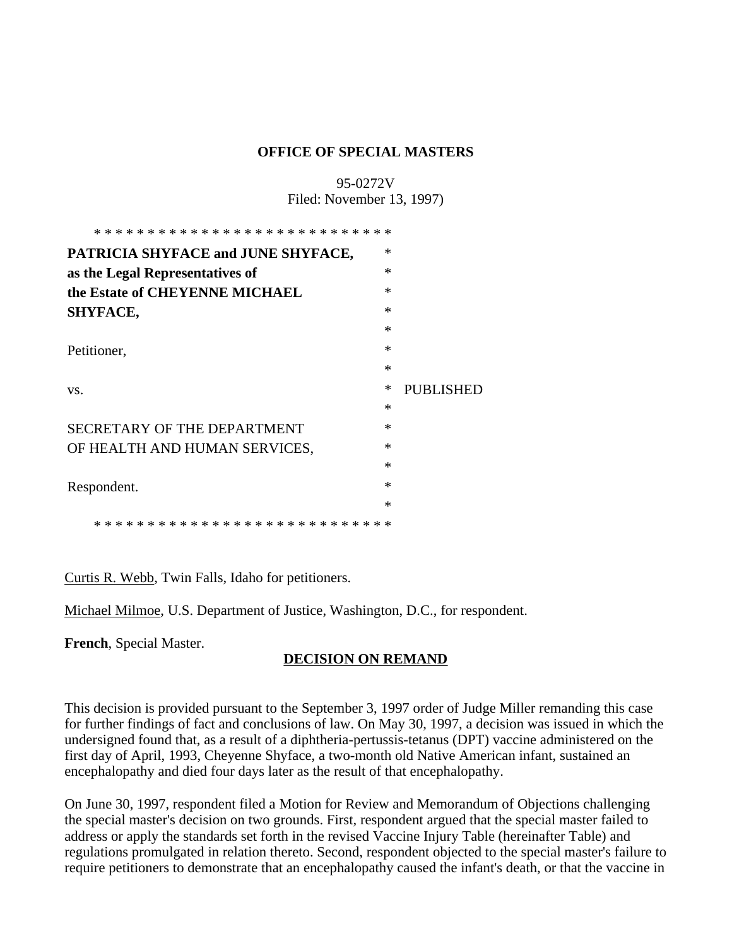#### **OFFICE OF SPECIAL MASTERS**

# 95-0272V Filed: November 13, 1997)

| PATRICIA SHYFACE and JUNE SHYFACE,     | $\ast$ |           |
|----------------------------------------|--------|-----------|
| as the Legal Representatives of        | $\ast$ |           |
| the Estate of CHEYENNE MICHAEL         | $\ast$ |           |
| SHYFACE,                               | $\ast$ |           |
|                                        | $\ast$ |           |
| Petitioner,                            | $\ast$ |           |
|                                        | $\ast$ |           |
| VS.                                    | ∗      | PUBLISHED |
|                                        | $\ast$ |           |
| <b>SECRETARY OF THE DEPARTMENT</b>     | $\ast$ |           |
| OF HEALTH AND HUMAN SERVICES,          | ∗      |           |
|                                        | $\ast$ |           |
| Respondent.                            | $\ast$ |           |
|                                        | $\ast$ |           |
| * * * * * * * * * * * * * *<br>* * * * |        |           |

Curtis R. Webb, Twin Falls, Idaho for petitioners.

Michael Milmoe, U.S. Department of Justice, Washington, D.C., for respondent.

**French**, Special Master.

# **DECISION ON REMAND**

This decision is provided pursuant to the September 3, 1997 order of Judge Miller remanding this case for further findings of fact and conclusions of law. On May 30, 1997, a decision was issued in which the undersigned found that, as a result of a diphtheria-pertussis-tetanus (DPT) vaccine administered on the first day of April, 1993, Cheyenne Shyface, a two-month old Native American infant, sustained an encephalopathy and died four days later as the result of that encephalopathy.

On June 30, 1997, respondent filed a Motion for Review and Memorandum of Objections challenging the special master's decision on two grounds. First, respondent argued that the special master failed to address or apply the standards set forth in the revised Vaccine Injury Table (hereinafter Table) and regulations promulgated in relation thereto. Second, respondent objected to the special master's failure to require petitioners to demonstrate that an encephalopathy caused the infant's death, or that the vaccine in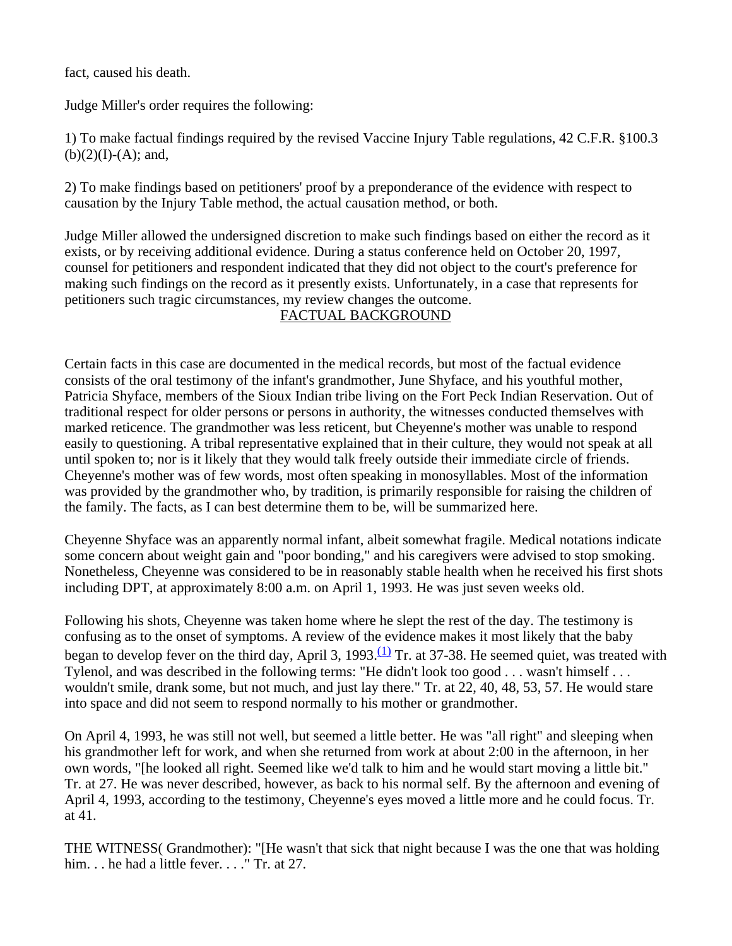fact, caused his death.

Judge Miller's order requires the following:

1) To make factual findings required by the revised Vaccine Injury Table regulations, 42 C.F.R. §100.3  $(b)(2)(I)-(A);$  and,

2) To make findings based on petitioners' proof by a preponderance of the evidence with respect to causation by the Injury Table method, the actual causation method, or both.

Judge Miller allowed the undersigned discretion to make such findings based on either the record as it exists, or by receiving additional evidence. During a status conference held on October 20, 1997, counsel for petitioners and respondent indicated that they did not object to the court's preference for making such findings on the record as it presently exists. Unfortunately, in a case that represents for petitioners such tragic circumstances, my review changes the outcome.

## FACTUAL BACKGROUND

Certain facts in this case are documented in the medical records, but most of the factual evidence consists of the oral testimony of the infant's grandmother, June Shyface, and his youthful mother, Patricia Shyface, members of the Sioux Indian tribe living on the Fort Peck Indian Reservation. Out of traditional respect for older persons or persons in authority, the witnesses conducted themselves with marked reticence. The grandmother was less reticent, but Cheyenne's mother was unable to respond easily to questioning. A tribal representative explained that in their culture, they would not speak at all until spoken to; nor is it likely that they would talk freely outside their immediate circle of friends. Cheyenne's mother was of few words, most often speaking in monosyllables. Most of the information was provided by the grandmother who, by tradition, is primarily responsible for raising the children of the family. The facts, as I can best determine them to be, will be summarized here.

Cheyenne Shyface was an apparently normal infant, albeit somewhat fragile. Medical notations indicate some concern about weight gain and "poor bonding," and his caregivers were advised to stop smoking. Nonetheless, Cheyenne was considered to be in reasonably stable health when he received his first shots including DPT, at approximately 8:00 a.m. on April 1, 1993. He was just seven weeks old.

Following his shots, Cheyenne was taken home where he slept the rest of the day. The testimony is confusing as to the onset of symptoms. A review of the evidence makes it most likely that the baby began to develop fever on the third day, April 3, 1993.<sup>(1)</sup> Tr. at 37-38. He seemed quiet, was treated with Tylenol, and was described in the following terms: "He didn't look too good . . . wasn't himself . . . wouldn't smile, drank some, but not much, and just lay there." Tr. at 22, 40, 48, 53, 57. He would stare into space and did not seem to respond normally to his mother or grandmother.

On April 4, 1993, he was still not well, but seemed a little better. He was "all right" and sleeping when his grandmother left for work, and when she returned from work at about 2:00 in the afternoon, in her own words, "[he looked all right. Seemed like we'd talk to him and he would start moving a little bit." Tr. at 27. He was never described, however, as back to his normal self. By the afternoon and evening of April 4, 1993, according to the testimony, Cheyenne's eyes moved a little more and he could focus. Tr. at 41.

THE WITNESS( Grandmother): "[He wasn't that sick that night because I was the one that was holding him. . . he had a little fever. . . . " Tr. at 27.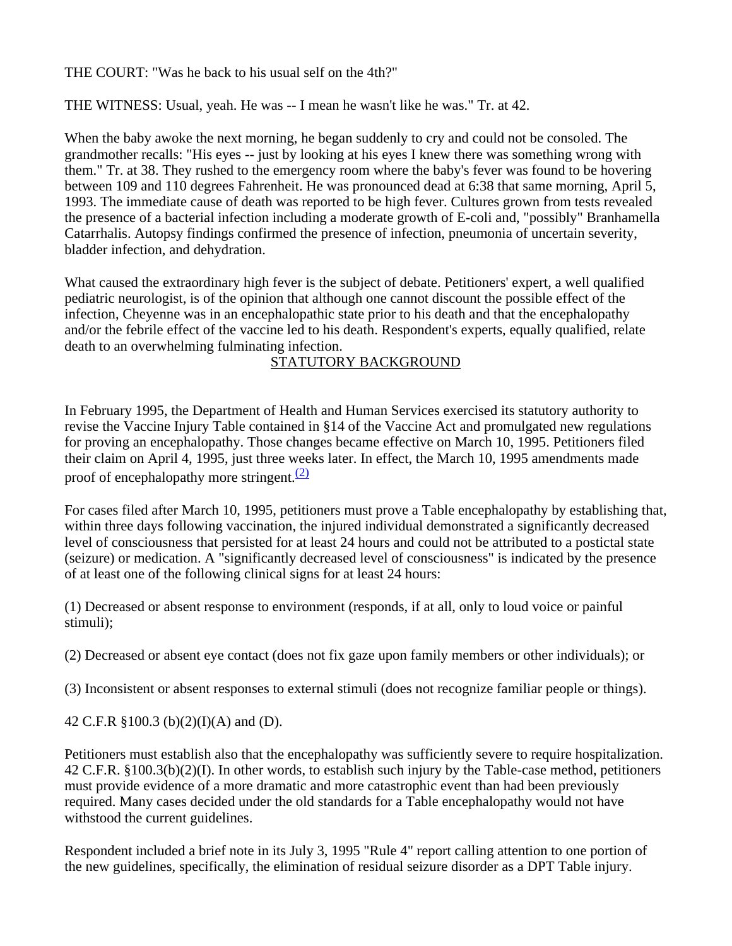THE COURT: "Was he back to his usual self on the 4th?"

THE WITNESS: Usual, yeah. He was -- I mean he wasn't like he was." Tr. at 42.

When the baby awoke the next morning, he began suddenly to cry and could not be consoled. The grandmother recalls: "His eyes -- just by looking at his eyes I knew there was something wrong with them." Tr. at 38. They rushed to the emergency room where the baby's fever was found to be hovering between 109 and 110 degrees Fahrenheit. He was pronounced dead at 6:38 that same morning, April 5, 1993. The immediate cause of death was reported to be high fever. Cultures grown from tests revealed the presence of a bacterial infection including a moderate growth of E-coli and, "possibly" Branhamella Catarrhalis. Autopsy findings confirmed the presence of infection, pneumonia of uncertain severity, bladder infection, and dehydration.

What caused the extraordinary high fever is the subject of debate. Petitioners' expert, a well qualified pediatric neurologist, is of the opinion that although one cannot discount the possible effect of the infection, Cheyenne was in an encephalopathic state prior to his death and that the encephalopathy and/or the febrile effect of the vaccine led to his death. Respondent's experts, equally qualified, relate death to an overwhelming fulminating infection.

## STATUTORY BACKGROUND

In February 1995, the Department of Health and Human Services exercised its statutory authority to revise the Vaccine Injury Table contained in §14 of the Vaccine Act and promulgated new regulations for proving an encephalopathy. Those changes became effective on March 10, 1995. Petitioners filed their claim on April 4, 1995, just three weeks later. In effect, the March 10, 1995 amendments made proof of encephalopathy more stringent. $(2)$ 

For cases filed after March 10, 1995, petitioners must prove a Table encephalopathy by establishing that, within three days following vaccination, the injured individual demonstrated a significantly decreased level of consciousness that persisted for at least 24 hours and could not be attributed to a postictal state (seizure) or medication. A "significantly decreased level of consciousness" is indicated by the presence of at least one of the following clinical signs for at least 24 hours:

(1) Decreased or absent response to environment (responds, if at all, only to loud voice or painful stimuli);

(2) Decreased or absent eye contact (does not fix gaze upon family members or other individuals); or

(3) Inconsistent or absent responses to external stimuli (does not recognize familiar people or things).

42 C.F.R §100.3 (b)(2)(I)(A) and (D).

Petitioners must establish also that the encephalopathy was sufficiently severe to require hospitalization. 42 C.F.R. §100.3(b)(2)(I). In other words, to establish such injury by the Table-case method, petitioners must provide evidence of a more dramatic and more catastrophic event than had been previously required. Many cases decided under the old standards for a Table encephalopathy would not have withstood the current guidelines.

Respondent included a brief note in its July 3, 1995 "Rule 4" report calling attention to one portion of the new guidelines, specifically, the elimination of residual seizure disorder as a DPT Table injury.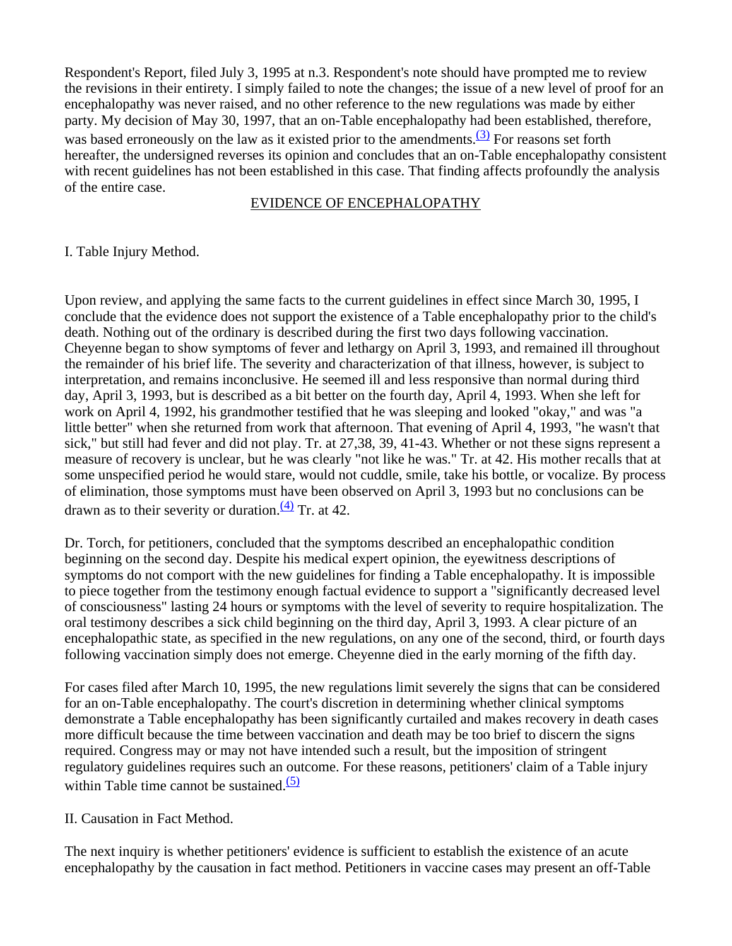Respondent's Report, filed July 3, 1995 at n.3. Respondent's note should have prompted me to review the revisions in their entirety. I simply failed to note the changes; the issue of a new level of proof for an encephalopathy was never raised, and no other reference to the new regulations was made by either party. My decision of May 30, 1997, that an on-Table encephalopathy had been established, therefore, was based erroneously on the law as it existed prior to the amendments. $(3)$  For reasons set forth hereafter, the undersigned reverses its opinion and concludes that an on-Table encephalopathy consistent with recent guidelines has not been established in this case. That finding affects profoundly the analysis of the entire case.

#### EVIDENCE OF ENCEPHALOPATHY

I. Table Injury Method.

Upon review, and applying the same facts to the current guidelines in effect since March 30, 1995, I conclude that the evidence does not support the existence of a Table encephalopathy prior to the child's death. Nothing out of the ordinary is described during the first two days following vaccination. Cheyenne began to show symptoms of fever and lethargy on April 3, 1993, and remained ill throughout the remainder of his brief life. The severity and characterization of that illness, however, is subject to interpretation, and remains inconclusive. He seemed ill and less responsive than normal during third day, April 3, 1993, but is described as a bit better on the fourth day, April 4, 1993. When she left for work on April 4, 1992, his grandmother testified that he was sleeping and looked "okay," and was "a little better" when she returned from work that afternoon. That evening of April 4, 1993, "he wasn't that sick," but still had fever and did not play. Tr. at 27,38, 39, 41-43. Whether or not these signs represent a measure of recovery is unclear, but he was clearly "not like he was." Tr. at 42. His mother recalls that at some unspecified period he would stare, would not cuddle, smile, take his bottle, or vocalize. By process of elimination, those symptoms must have been observed on April 3, 1993 but no conclusions can be drawn as to their severity or duration. $\frac{(4)}{(4)}$  Tr. at 42.

Dr. Torch, for petitioners, concluded that the symptoms described an encephalopathic condition beginning on the second day. Despite his medical expert opinion, the eyewitness descriptions of symptoms do not comport with the new guidelines for finding a Table encephalopathy. It is impossible to piece together from the testimony enough factual evidence to support a "significantly decreased level of consciousness" lasting 24 hours or symptoms with the level of severity to require hospitalization. The oral testimony describes a sick child beginning on the third day, April 3, 1993. A clear picture of an encephalopathic state, as specified in the new regulations, on any one of the second, third, or fourth days following vaccination simply does not emerge. Cheyenne died in the early morning of the fifth day.

For cases filed after March 10, 1995, the new regulations limit severely the signs that can be considered for an on-Table encephalopathy. The court's discretion in determining whether clinical symptoms demonstrate a Table encephalopathy has been significantly curtailed and makes recovery in death cases more difficult because the time between vaccination and death may be too brief to discern the signs required. Congress may or may not have intended such a result, but the imposition of stringent regulatory guidelines requires such an outcome. For these reasons, petitioners' claim of a Table injury within Table time cannot be sustained. $(5)$ 

II. Causation in Fact Method.

The next inquiry is whether petitioners' evidence is sufficient to establish the existence of an acute encephalopathy by the causation in fact method. Petitioners in vaccine cases may present an off-Table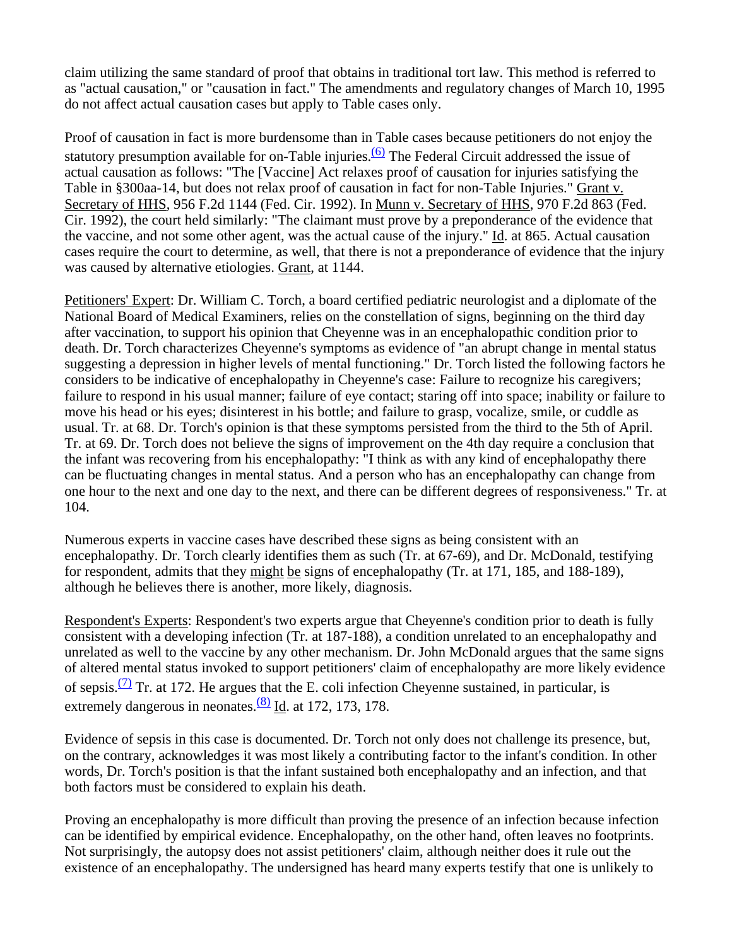claim utilizing the same standard of proof that obtains in traditional tort law. This method is referred to as "actual causation," or "causation in fact." The amendments and regulatory changes of March 10, 1995 do not affect actual causation cases but apply to Table cases only.

Proof of causation in fact is more burdensome than in Table cases because petitioners do not enjoy the statutory presumption available for on-Table injuries.<sup>(6)</sup> The Federal Circuit addressed the issue of actual causation as follows: "The [Vaccine] Act relaxes proof of causation for injuries satisfying the Table in §300aa-14, but does not relax proof of causation in fact for non-Table Injuries." Grant v. Secretary of HHS, 956 F.2d 1144 (Fed. Cir. 1992). In Munn v. Secretary of HHS, 970 F.2d 863 (Fed. Cir. 1992), the court held similarly: "The claimant must prove by a preponderance of the evidence that the vaccine, and not some other agent, was the actual cause of the injury." Id. at 865. Actual causation cases require the court to determine, as well, that there is not a preponderance of evidence that the injury was caused by alternative etiologies. Grant, at 1144.

Petitioners' Expert: Dr. William C. Torch, a board certified pediatric neurologist and a diplomate of the National Board of Medical Examiners, relies on the constellation of signs, beginning on the third day after vaccination, to support his opinion that Cheyenne was in an encephalopathic condition prior to death. Dr. Torch characterizes Cheyenne's symptoms as evidence of "an abrupt change in mental status suggesting a depression in higher levels of mental functioning." Dr. Torch listed the following factors he considers to be indicative of encephalopathy in Cheyenne's case: Failure to recognize his caregivers; failure to respond in his usual manner; failure of eye contact; staring off into space; inability or failure to move his head or his eyes; disinterest in his bottle; and failure to grasp, vocalize, smile, or cuddle as usual. Tr. at 68. Dr. Torch's opinion is that these symptoms persisted from the third to the 5th of April. Tr. at 69. Dr. Torch does not believe the signs of improvement on the 4th day require a conclusion that the infant was recovering from his encephalopathy: "I think as with any kind of encephalopathy there can be fluctuating changes in mental status. And a person who has an encephalopathy can change from one hour to the next and one day to the next, and there can be different degrees of responsiveness." Tr. at 104.

Numerous experts in vaccine cases have described these signs as being consistent with an encephalopathy. Dr. Torch clearly identifies them as such (Tr. at 67-69), and Dr. McDonald, testifying for respondent, admits that they might be signs of encephalopathy (Tr. at 171, 185, and 188-189), although he believes there is another, more likely, diagnosis.

Respondent's Experts: Respondent's two experts argue that Cheyenne's condition prior to death is fully consistent with a developing infection (Tr. at 187-188), a condition unrelated to an encephalopathy and unrelated as well to the vaccine by any other mechanism. Dr. John McDonald argues that the same signs of altered mental status invoked to support petitioners' claim of encephalopathy are more likely evidence of sepsis.<sup>(7)</sup> Tr. at 172. He argues that the E. coli infection Cheyenne sustained, in particular, is extremely dangerous in neonates. $\frac{(8)}{10}$  Id. at 172, 173, 178.

Evidence of sepsis in this case is documented. Dr. Torch not only does not challenge its presence, but, on the contrary, acknowledges it was most likely a contributing factor to the infant's condition. In other words, Dr. Torch's position is that the infant sustained both encephalopathy and an infection, and that both factors must be considered to explain his death.

Proving an encephalopathy is more difficult than proving the presence of an infection because infection can be identified by empirical evidence. Encephalopathy, on the other hand, often leaves no footprints. Not surprisingly, the autopsy does not assist petitioners' claim, although neither does it rule out the existence of an encephalopathy. The undersigned has heard many experts testify that one is unlikely to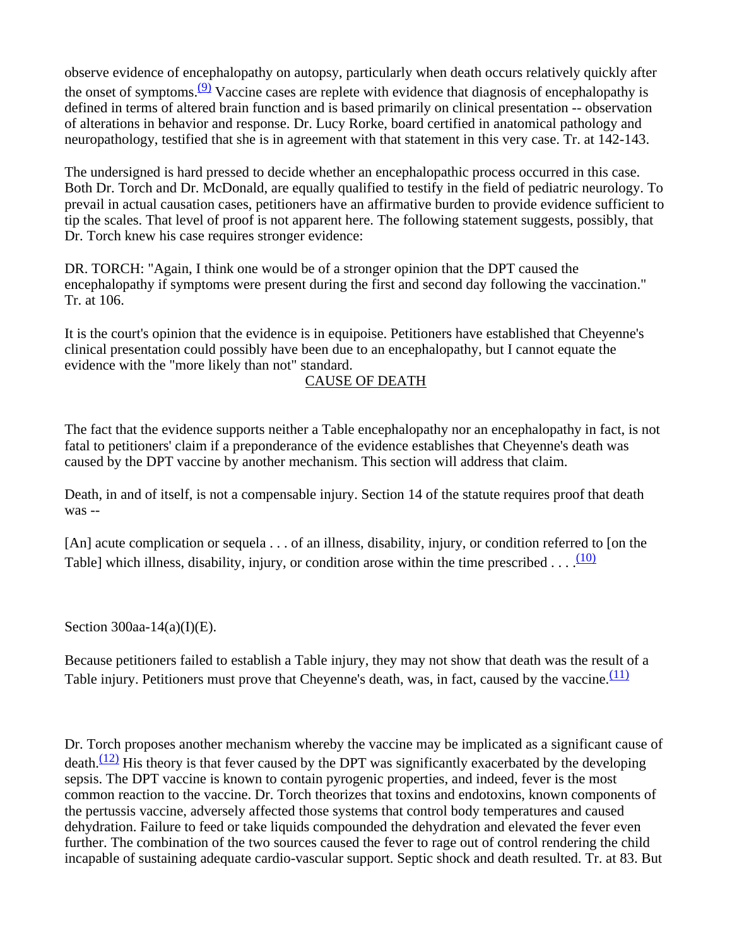observe evidence of encephalopathy on autopsy, particularly when death occurs relatively quickly after the onset of symptoms. $(9)$  Vaccine cases are replete with evidence that diagnosis of encephalopathy is defined in terms of altered brain function and is based primarily on clinical presentation -- observation of alterations in behavior and response. Dr. Lucy Rorke, board certified in anatomical pathology and neuropathology, testified that she is in agreement with that statement in this very case. Tr. at 142-143.

The undersigned is hard pressed to decide whether an encephalopathic process occurred in this case. Both Dr. Torch and Dr. McDonald, are equally qualified to testify in the field of pediatric neurology. To prevail in actual causation cases, petitioners have an affirmative burden to provide evidence sufficient to tip the scales. That level of proof is not apparent here. The following statement suggests, possibly, that Dr. Torch knew his case requires stronger evidence:

DR. TORCH: "Again, I think one would be of a stronger opinion that the DPT caused the encephalopathy if symptoms were present during the first and second day following the vaccination." Tr. at 106.

It is the court's opinion that the evidence is in equipoise. Petitioners have established that Cheyenne's clinical presentation could possibly have been due to an encephalopathy, but I cannot equate the evidence with the "more likely than not" standard.

# CAUSE OF DEATH

The fact that the evidence supports neither a Table encephalopathy nor an encephalopathy in fact, is not fatal to petitioners' claim if a preponderance of the evidence establishes that Cheyenne's death was caused by the DPT vaccine by another mechanism. This section will address that claim.

Death, in and of itself, is not a compensable injury. Section 14 of the statute requires proof that death was --

[An] acute complication or sequela . . . of an illness, disability, injury, or condition referred to [on the Table] which illness, disability, injury, or condition arose within the time prescribed  $\dots$ .  $(10)$ 

Section 300aa-14(a)(I)(E).

Because petitioners failed to establish a Table injury, they may not show that death was the result of a Table injury. Petitioners must prove that Cheyenne's death, was, in fact, caused by the vaccine. $\frac{(11)}{(11)}$ 

Dr. Torch proposes another mechanism whereby the vaccine may be implicated as a significant cause of death. $\frac{(12)}{(12)}$  His theory is that fever caused by the DPT was significantly exacerbated by the developing sepsis. The DPT vaccine is known to contain pyrogenic properties, and indeed, fever is the most common reaction to the vaccine. Dr. Torch theorizes that toxins and endotoxins, known components of the pertussis vaccine, adversely affected those systems that control body temperatures and caused dehydration. Failure to feed or take liquids compounded the dehydration and elevated the fever even further. The combination of the two sources caused the fever to rage out of control rendering the child incapable of sustaining adequate cardio-vascular support. Septic shock and death resulted. Tr. at 83. But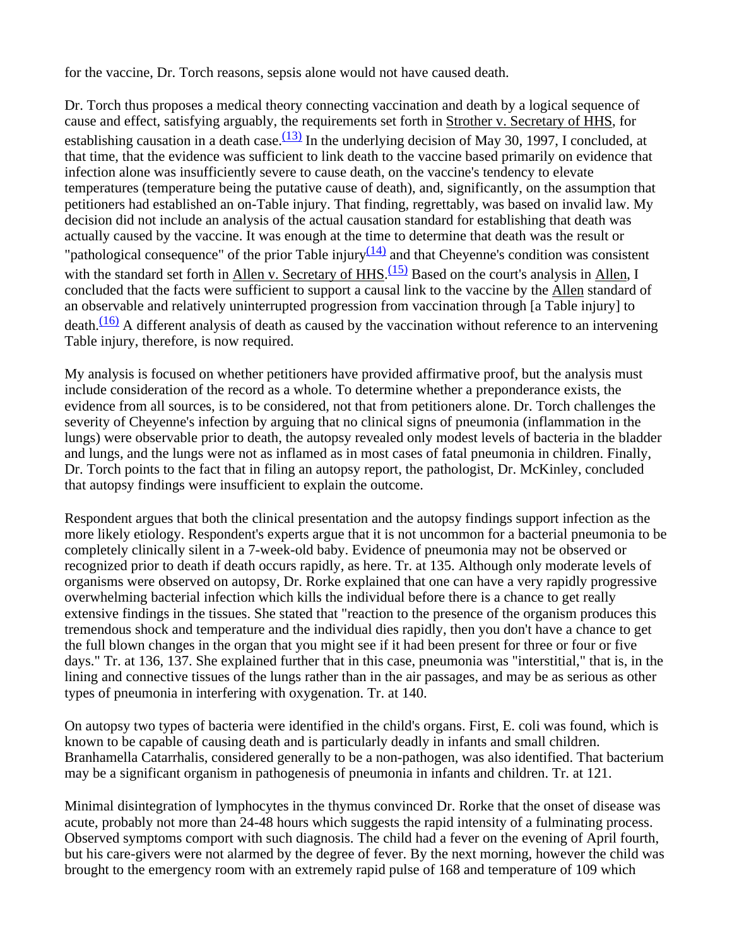for the vaccine, Dr. Torch reasons, sepsis alone would not have caused death.

Dr. Torch thus proposes a medical theory connecting vaccination and death by a logical sequence of cause and effect, satisfying arguably, the requirements set forth in Strother v. Secretary of HHS, for establishing causation in a death case.<sup>(13)</sup> In the underlying decision of May 30, 1997, I concluded, at that time, that the evidence was sufficient to link death to the vaccine based primarily on evidence that infection alone was insufficiently severe to cause death, on the vaccine's tendency to elevate temperatures (temperature being the putative cause of death), and, significantly, on the assumption that petitioners had established an on-Table injury. That finding, regrettably, was based on invalid law. My decision did not include an analysis of the actual causation standard for establishing that death was actually caused by the vaccine. It was enough at the time to determine that death was the result or "pathological consequence" of the prior Table injury $\frac{(14)}{(14)}$  and that Cheyenne's condition was consistent with the standard set forth in Allen v. Secretary of HHS.<sup>(15)</sup> Based on the court's analysis in Allen, I concluded that the facts were sufficient to support a causal link to the vaccine by the Allen standard of an observable and relatively uninterrupted progression from vaccination through [a Table injury] to  $death.$ <sup>(16)</sup> A different analysis of death as caused by the vaccination without reference to an intervening Table injury, therefore, is now required.

My analysis is focused on whether petitioners have provided affirmative proof, but the analysis must include consideration of the record as a whole. To determine whether a preponderance exists, the evidence from all sources, is to be considered, not that from petitioners alone. Dr. Torch challenges the severity of Cheyenne's infection by arguing that no clinical signs of pneumonia (inflammation in the lungs) were observable prior to death, the autopsy revealed only modest levels of bacteria in the bladder and lungs, and the lungs were not as inflamed as in most cases of fatal pneumonia in children. Finally, Dr. Torch points to the fact that in filing an autopsy report, the pathologist, Dr. McKinley, concluded that autopsy findings were insufficient to explain the outcome.

Respondent argues that both the clinical presentation and the autopsy findings support infection as the more likely etiology. Respondent's experts argue that it is not uncommon for a bacterial pneumonia to be completely clinically silent in a 7-week-old baby. Evidence of pneumonia may not be observed or recognized prior to death if death occurs rapidly, as here. Tr. at 135. Although only moderate levels of organisms were observed on autopsy, Dr. Rorke explained that one can have a very rapidly progressive overwhelming bacterial infection which kills the individual before there is a chance to get really extensive findings in the tissues. She stated that "reaction to the presence of the organism produces this tremendous shock and temperature and the individual dies rapidly, then you don't have a chance to get the full blown changes in the organ that you might see if it had been present for three or four or five days." Tr. at 136, 137. She explained further that in this case, pneumonia was "interstitial," that is, in the lining and connective tissues of the lungs rather than in the air passages, and may be as serious as other types of pneumonia in interfering with oxygenation. Tr. at 140.

On autopsy two types of bacteria were identified in the child's organs. First, E. coli was found, which is known to be capable of causing death and is particularly deadly in infants and small children. Branhamella Catarrhalis, considered generally to be a non-pathogen, was also identified. That bacterium may be a significant organism in pathogenesis of pneumonia in infants and children. Tr. at 121.

Minimal disintegration of lymphocytes in the thymus convinced Dr. Rorke that the onset of disease was acute, probably not more than 24-48 hours which suggests the rapid intensity of a fulminating process. Observed symptoms comport with such diagnosis. The child had a fever on the evening of April fourth, but his care-givers were not alarmed by the degree of fever. By the next morning, however the child was brought to the emergency room with an extremely rapid pulse of 168 and temperature of 109 which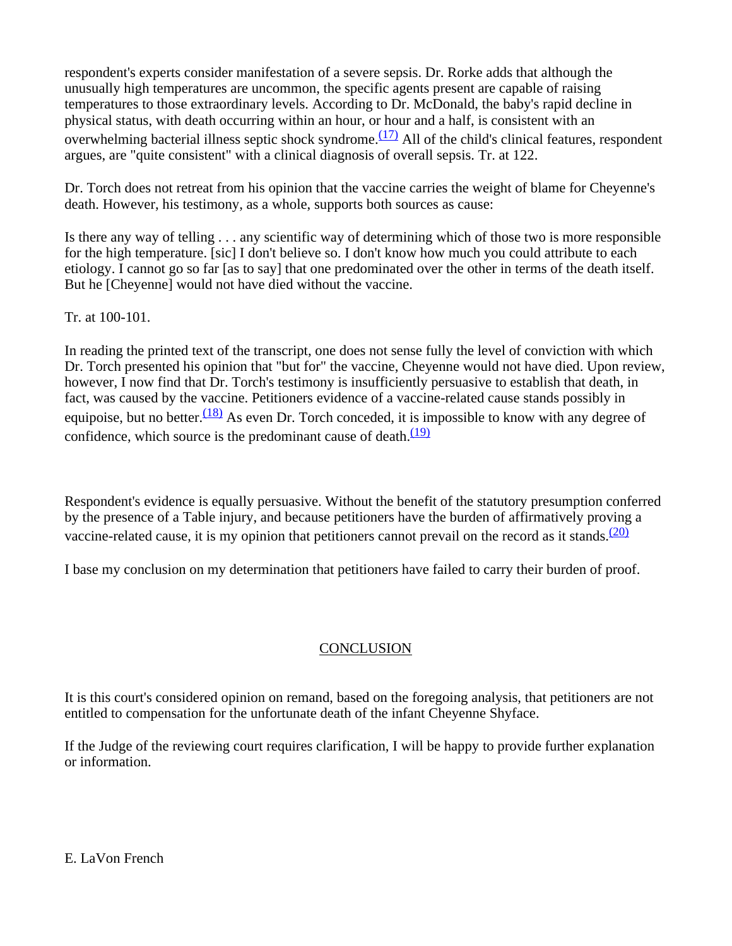respondent's experts consider manifestation of a severe sepsis. Dr. Rorke adds that although the unusually high temperatures are uncommon, the specific agents present are capable of raising temperatures to those extraordinary levels. According to Dr. McDonald, the baby's rapid decline in physical status, with death occurring within an hour, or hour and a half, is consistent with an overwhelming bacterial illness septic shock syndrome. $\frac{(17)}{2}$  All of the child's clinical features, respondent argues, are "quite consistent" with a clinical diagnosis of overall sepsis. Tr. at 122.

Dr. Torch does not retreat from his opinion that the vaccine carries the weight of blame for Cheyenne's death. However, his testimony, as a whole, supports both sources as cause:

Is there any way of telling . . . any scientific way of determining which of those two is more responsible for the high temperature. [sic] I don't believe so. I don't know how much you could attribute to each etiology. I cannot go so far [as to say] that one predominated over the other in terms of the death itself. But he [Cheyenne] would not have died without the vaccine.

Tr. at 100-101.

In reading the printed text of the transcript, one does not sense fully the level of conviction with which Dr. Torch presented his opinion that "but for" the vaccine, Cheyenne would not have died. Upon review, however, I now find that Dr. Torch's testimony is insufficiently persuasive to establish that death, in fact, was caused by the vaccine. Petitioners evidence of a vaccine-related cause stands possibly in equipoise, but no better.<sup>(18)</sup> As even Dr. Torch conceded, it is impossible to know with any degree of confidence, which source is the predominant cause of death. $(19)$ 

Respondent's evidence is equally persuasive. Without the benefit of the statutory presumption conferred by the presence of a Table injury, and because petitioners have the burden of affirmatively proving a vaccine-related cause, it is my opinion that petitioners cannot prevail on the record as it stands.<sup>(20)</sup>

I base my conclusion on my determination that petitioners have failed to carry their burden of proof.

# **CONCLUSION**

It is this court's considered opinion on remand, based on the foregoing analysis, that petitioners are not entitled to compensation for the unfortunate death of the infant Cheyenne Shyface.

If the Judge of the reviewing court requires clarification, I will be happy to provide further explanation or information.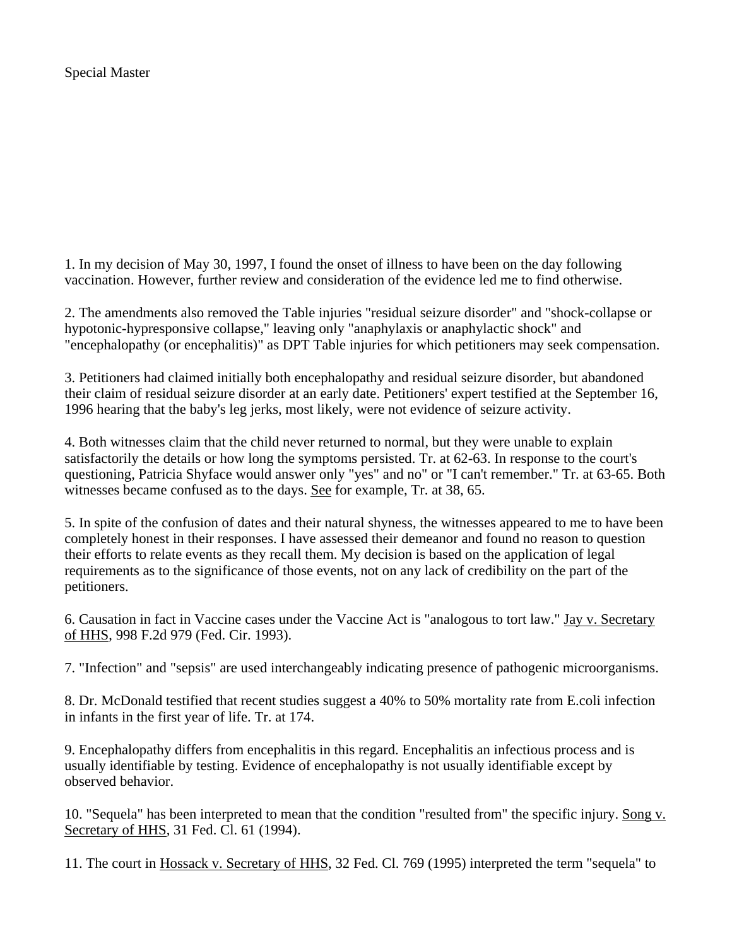1. In my decision of May 30, 1997, I found the onset of illness to have been on the day following vaccination. However, further review and consideration of the evidence led me to find otherwise.

2. The amendments also removed the Table injuries "residual seizure disorder" and "shock-collapse or hypotonic-hypresponsive collapse," leaving only "anaphylaxis or anaphylactic shock" and "encephalopathy (or encephalitis)" as DPT Table injuries for which petitioners may seek compensation.

3. Petitioners had claimed initially both encephalopathy and residual seizure disorder, but abandoned their claim of residual seizure disorder at an early date. Petitioners' expert testified at the September 16, 1996 hearing that the baby's leg jerks, most likely, were not evidence of seizure activity.

4. Both witnesses claim that the child never returned to normal, but they were unable to explain satisfactorily the details or how long the symptoms persisted. Tr. at 62-63. In response to the court's questioning, Patricia Shyface would answer only "yes" and no" or "I can't remember." Tr. at 63-65. Both witnesses became confused as to the days. See for example, Tr. at 38, 65.

5. In spite of the confusion of dates and their natural shyness, the witnesses appeared to me to have been completely honest in their responses. I have assessed their demeanor and found no reason to question their efforts to relate events as they recall them. My decision is based on the application of legal requirements as to the significance of those events, not on any lack of credibility on the part of the petitioners.

6. Causation in fact in Vaccine cases under the Vaccine Act is "analogous to tort law." Jay v. Secretary of HHS, 998 F.2d 979 (Fed. Cir. 1993).

7. "Infection" and "sepsis" are used interchangeably indicating presence of pathogenic microorganisms.

8. Dr. McDonald testified that recent studies suggest a 40% to 50% mortality rate from E.coli infection in infants in the first year of life. Tr. at 174.

9. Encephalopathy differs from encephalitis in this regard. Encephalitis an infectious process and is usually identifiable by testing. Evidence of encephalopathy is not usually identifiable except by observed behavior.

10. "Sequela" has been interpreted to mean that the condition "resulted from" the specific injury. Song v. Secretary of HHS, 31 Fed. Cl. 61 (1994).

11. The court in Hossack v. Secretary of HHS, 32 Fed. Cl. 769 (1995) interpreted the term "sequela" to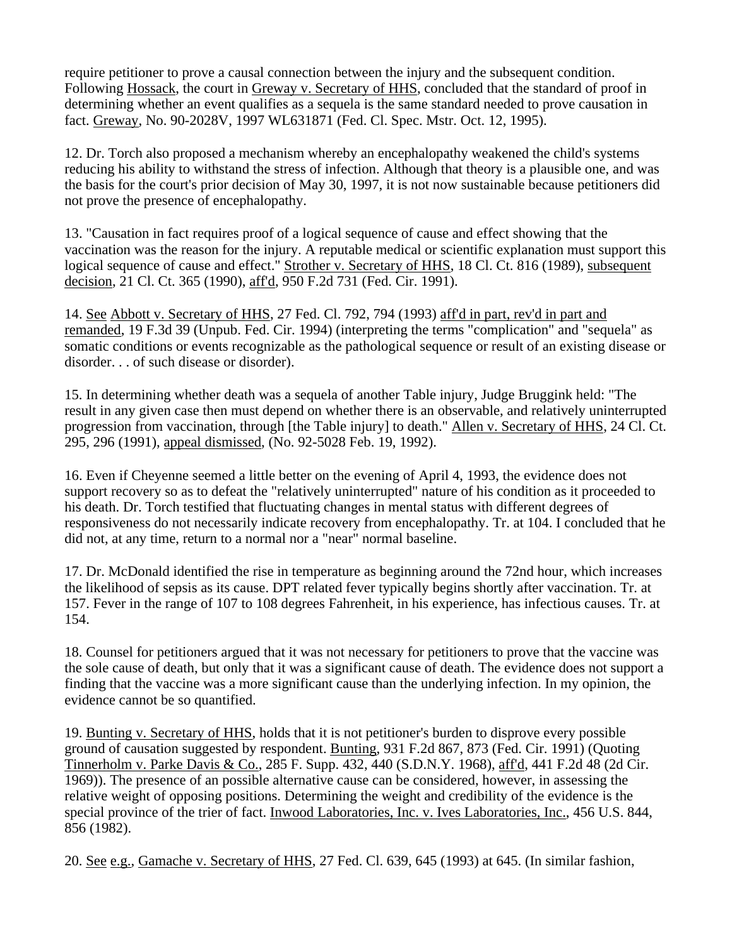require petitioner to prove a causal connection between the injury and the subsequent condition. Following Hossack, the court in Greway v. Secretary of HHS, concluded that the standard of proof in determining whether an event qualifies as a sequela is the same standard needed to prove causation in fact. Greway, No. 90-2028V, 1997 WL631871 (Fed. Cl. Spec. Mstr. Oct. 12, 1995).

12. Dr. Torch also proposed a mechanism whereby an encephalopathy weakened the child's systems reducing his ability to withstand the stress of infection. Although that theory is a plausible one, and was the basis for the court's prior decision of May 30, 1997, it is not now sustainable because petitioners did not prove the presence of encephalopathy.

13. "Causation in fact requires proof of a logical sequence of cause and effect showing that the vaccination was the reason for the injury. A reputable medical or scientific explanation must support this logical sequence of cause and effect." Strother v. Secretary of HHS, 18 Cl. Ct. 816 (1989), subsequent decision, 21 Cl. Ct. 365 (1990), aff'd, 950 F.2d 731 (Fed. Cir. 1991).

14. See Abbott v. Secretary of HHS, 27 Fed. Cl. 792, 794 (1993) aff'd in part, rev'd in part and remanded, 19 F.3d 39 (Unpub. Fed. Cir. 1994) (interpreting the terms "complication" and "sequela" as somatic conditions or events recognizable as the pathological sequence or result of an existing disease or disorder. . . of such disease or disorder).

15. In determining whether death was a sequela of another Table injury, Judge Bruggink held: "The result in any given case then must depend on whether there is an observable, and relatively uninterrupted progression from vaccination, through [the Table injury] to death." Allen v. Secretary of HHS, 24 Cl. Ct. 295, 296 (1991), appeal dismissed, (No. 92-5028 Feb. 19, 1992).

16. Even if Cheyenne seemed a little better on the evening of April 4, 1993, the evidence does not support recovery so as to defeat the "relatively uninterrupted" nature of his condition as it proceeded to his death. Dr. Torch testified that fluctuating changes in mental status with different degrees of responsiveness do not necessarily indicate recovery from encephalopathy. Tr. at 104. I concluded that he did not, at any time, return to a normal nor a "near" normal baseline.

17. Dr. McDonald identified the rise in temperature as beginning around the 72nd hour, which increases the likelihood of sepsis as its cause. DPT related fever typically begins shortly after vaccination. Tr. at 157. Fever in the range of 107 to 108 degrees Fahrenheit, in his experience, has infectious causes. Tr. at 154.

18. Counsel for petitioners argued that it was not necessary for petitioners to prove that the vaccine was the sole cause of death, but only that it was a significant cause of death. The evidence does not support a finding that the vaccine was a more significant cause than the underlying infection. In my opinion, the evidence cannot be so quantified.

19. Bunting v. Secretary of HHS, holds that it is not petitioner's burden to disprove every possible ground of causation suggested by respondent. Bunting, 931 F.2d 867, 873 (Fed. Cir. 1991) (Quoting Tinnerholm v. Parke Davis & Co., 285 F. Supp. 432, 440 (S.D.N.Y. 1968), aff'd, 441 F.2d 48 (2d Cir. 1969)). The presence of an possible alternative cause can be considered, however, in assessing the relative weight of opposing positions. Determining the weight and credibility of the evidence is the special province of the trier of fact. Inwood Laboratories, Inc. v. Ives Laboratories, Inc., 456 U.S. 844, 856 (1982).

20. See e.g., Gamache v. Secretary of HHS, 27 Fed. Cl. 639, 645 (1993) at 645. (In similar fashion,